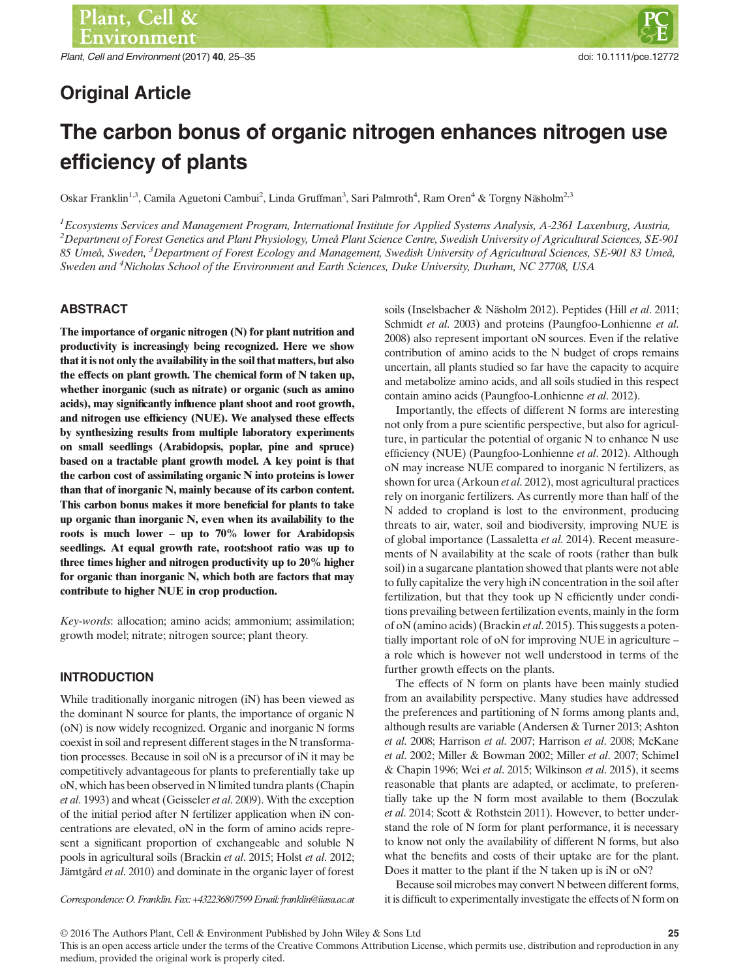# Original Article

# The carbon bonus of organic nitrogen enhances nitrogen use efficiency of plants

Oskar Franklin<sup>1,3</sup>, Camila Aguetoni Cambui<sup>2</sup>, Linda Gruffman<sup>3</sup>, Sari Palmroth<sup>4</sup>, Ram Oren<sup>4</sup> & Torgny Näsholm<sup>2,3</sup>

 ${}^{1}$ Ecosystems Services and Management Program, International Institute for Applied Systems Analysis, A-2361 Laxenburg, Austria,  $^2$ Department of Forest Genetics and Plant Physiology, Umeå Plant Science Centre, Swedish University of Agricultural Sciences, SE-901 85 Umeå, Sweden, <sup>3</sup>Department of Forest Ecology and Management, Swedish University of Agricultural Sciences, SE-901 83 Umeå, Sweden and <sup>4</sup>Nicholas School of the Environment and Earth Sciences, Duke University, Durham, NC 27708, USA

# ABSTRACT

The importance of organic nitrogen (N) for plant nutrition and productivity is increasingly being recognized. Here we show that it is not only the availability in the soil that matters, but also the effects on plant growth. The chemical form of N taken up, whether inorganic (such as nitrate) or organic (such as amino acids), may significantly influence plant shoot and root growth, and nitrogen use efficiency (NUE). We analysed these effects by synthesizing results from multiple laboratory experiments on small seedlings (Arabidopsis, poplar, pine and spruce) based on a tractable plant growth model. A key point is that the carbon cost of assimilating organic N into proteins is lower than that of inorganic N, mainly because of its carbon content. This carbon bonus makes it more beneficial for plants to take up organic than inorganic N, even when its availability to the roots is much lower – up to 70% lower for Arabidopsis seedlings. At equal growth rate, root:shoot ratio was up to three times higher and nitrogen productivity up to 20% higher for organic than inorganic N, which both are factors that may contribute to higher NUE in crop production.

Key-words: allocation; amino acids; ammonium; assimilation; growth model; nitrate; nitrogen source; plant theory.

# **INTRODUCTION**

While traditionally inorganic nitrogen (iN) has been viewed as the dominant N source for plants, the importance of organic N (oN) is now widely recognized. Organic and inorganic N forms coexist in soil and represent different stages in the N transformation processes. Because in soil oN is a precursor of iN it may be competitively advantageous for plants to preferentially take up oN, which has been observed in N limited tundra plants (Chapin et al. 1993) and wheat (Geisseler et al. 2009). With the exception of the initial period after N fertilizer application when iN concentrations are elevated, oN in the form of amino acids represent a significant proportion of exchangeable and soluble N pools in agricultural soils (Brackin et al. 2015; Holst et al. 2012; Jämtgård et al. 2010) and dominate in the organic layer of forest

soils (Inselsbacher & Näsholm 2012). Peptides (Hill et al. 2011; Schmidt et al. 2003) and proteins (Paungfoo-Lonhienne et al. 2008) also represent important oN sources. Even if the relative contribution of amino acids to the N budget of crops remains uncertain, all plants studied so far have the capacity to acquire and metabolize amino acids, and all soils studied in this respect contain amino acids (Paungfoo-Lonhienne et al. 2012).

Importantly, the effects of different N forms are interesting not only from a pure scientific perspective, but also for agriculture, in particular the potential of organic N to enhance N use efficiency (NUE) (Paungfoo-Lonhienne et al. 2012). Although oN may increase NUE compared to inorganic N fertilizers, as shown for urea (Arkoun et al. 2012), most agricultural practices rely on inorganic fertilizers. As currently more than half of the N added to cropland is lost to the environment, producing threats to air, water, soil and biodiversity, improving NUE is of global importance (Lassaletta et al. 2014). Recent measurements of N availability at the scale of roots (rather than bulk soil) in a sugarcane plantation showed that plants were not able to fully capitalize the very high iN concentration in the soil after fertilization, but that they took up N efficiently under conditions prevailing between fertilization events, mainly in the form of oN (amino acids) (Brackin et al. 2015). This suggests a potentially important role of oN for improving NUE in agriculture – a role which is however not well understood in terms of the further growth effects on the plants.

The effects of N form on plants have been mainly studied from an availability perspective. Many studies have addressed the preferences and partitioning of N forms among plants and, although results are variable (Andersen & Turner 2013; Ashton et al. 2008; Harrison et al. 2007; Harrison et al. 2008; McKane et al. 2002; Miller & Bowman 2002; Miller et al. 2007; Schimel & Chapin 1996; Wei et al. 2015; Wilkinson et al. 2015), it seems reasonable that plants are adapted, or acclimate, to preferentially take up the N form most available to them (Boczulak et al. 2014; Scott & Rothstein 2011). However, to better understand the role of N form for plant performance, it is necessary to know not only the availability of different N forms, but also what the benefits and costs of their uptake are for the plant. Does it matter to the plant if the N taken up is iN or oN?

Because soil microbes may convert N between different forms, Correspondence: O. Franklin. Fax: +432236807599 Email: franklin@iiasa.ac.at it is difficult to experimentally investigate the effects of N form on

This is an open access article under the terms of the [Creative Commons Attribution](http://creativecommons.org/licenses/by/4.0/) License, which permits use, distribution and reproduction in any medium, provided the original work is properly cited.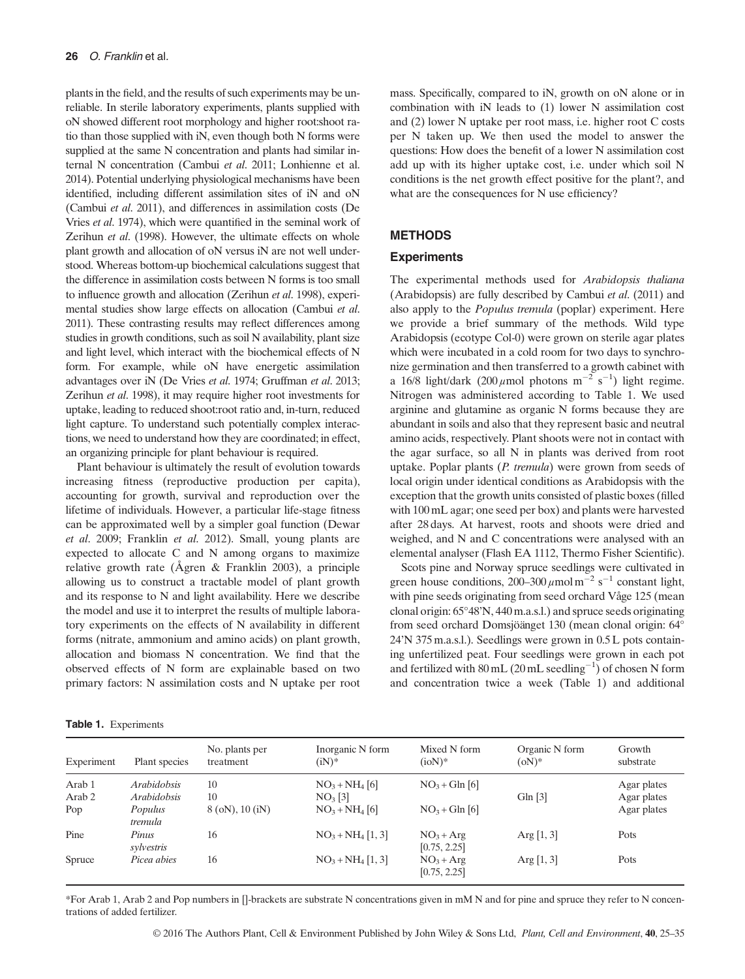plants in the field, and the results of such experiments may be unreliable. In sterile laboratory experiments, plants supplied with oN showed different root morphology and higher root:shoot ratio than those supplied with iN, even though both N forms were supplied at the same N concentration and plants had similar internal N concentration (Cambui et al. 2011; Lonhienne et al. 2014). Potential underlying physiological mechanisms have been identified, including different assimilation sites of iN and oN (Cambui et al. 2011), and differences in assimilation costs (De Vries et al. 1974), which were quantified in the seminal work of Zerihun et al. (1998). However, the ultimate effects on whole plant growth and allocation of oN versus iN are not well understood. Whereas bottom-up biochemical calculations suggest that the difference in assimilation costs between N forms is too small to influence growth and allocation (Zerihun et al. 1998), experimental studies show large effects on allocation (Cambui et al. 2011). These contrasting results may reflect differences among studies in growth conditions, such as soil N availability, plant size and light level, which interact with the biochemical effects of N form. For example, while oN have energetic assimilation advantages over iN (De Vries et al. 1974; Gruffman et al. 2013; Zerihun et al. 1998), it may require higher root investments for uptake, leading to reduced shoot:root ratio and, in-turn, reduced light capture. To understand such potentially complex interactions, we need to understand how they are coordinated; in effect, an organizing principle for plant behaviour is required.

Plant behaviour is ultimately the result of evolution towards increasing fitness (reproductive production per capita), accounting for growth, survival and reproduction over the lifetime of individuals. However, a particular life-stage fitness can be approximated well by a simpler goal function (Dewar et al. 2009; Franklin et al. 2012). Small, young plants are expected to allocate C and N among organs to maximize relative growth rate (Ågren & Franklin 2003), a principle allowing us to construct a tractable model of plant growth and its response to N and light availability. Here we describe the model and use it to interpret the results of multiple laboratory experiments on the effects of N availability in different forms (nitrate, ammonium and amino acids) on plant growth, allocation and biomass N concentration. We find that the observed effects of N form are explainable based on two primary factors: N assimilation costs and N uptake per root mass. Specifically, compared to iN, growth on oN alone or in combination with iN leads to (1) lower N assimilation cost and (2) lower N uptake per root mass, i.e. higher root C costs per N taken up. We then used the model to answer the questions: How does the benefit of a lower N assimilation cost add up with its higher uptake cost, i.e. under which soil N conditions is the net growth effect positive for the plant?, and what are the consequences for N use efficiency?

### **METHODS**

#### **Experiments**

The experimental methods used for Arabidopsis thaliana (Arabidopsis) are fully described by Cambui et al. (2011) and also apply to the Populus tremula (poplar) experiment. Here we provide a brief summary of the methods. Wild type Arabidopsis (ecotype Col-0) were grown on sterile agar plates which were incubated in a cold room for two days to synchronize germination and then transferred to a growth cabinet with a 16/8 light/dark (200  $\mu$ mol photons m<sup>-2</sup> s<sup>-1</sup>) light regime. Nitrogen was administered according to Table 1. We used arginine and glutamine as organic N forms because they are abundant in soils and also that they represent basic and neutral amino acids, respectively. Plant shoots were not in contact with the agar surface, so all N in plants was derived from root uptake. Poplar plants (P. tremula) were grown from seeds of local origin under identical conditions as Arabidopsis with the exception that the growth units consisted of plastic boxes (filled with 100 mL agar; one seed per box) and plants were harvested after 28 days. At harvest, roots and shoots were dried and weighed, and N and C concentrations were analysed with an elemental analyser (Flash EA 1112, Thermo Fisher Scientific).

Scots pine and Norway spruce seedlings were cultivated in green house conditions, 200–300  $\mu$ mol m<sup>-2</sup> s<sup>-1</sup> constant light, with pine seeds originating from seed orchard Våge 125 (mean clonal origin: 65°48'N, 440 m.a.s.l.) and spruce seeds originating from seed orchard Domsjöänget 130 (mean clonal origin: 64° 24'N 375 m.a.s.l.). Seedlings were grown in 0.5 L pots containing unfertilized peat. Four seedlings were grown in each pot and fertilized with  $80 \text{ mL}$  (20 mL seedling<sup>-1</sup>) of chosen N form and concentration twice a week (Table 1) and additional

| Experiment | Plant species       | No. plants per<br>treatment | Inorganic N form<br>$(iN)*$ | Mixed N form<br>$(ioN)*$    | Organic N form<br>$(oN)^*$ | Growth<br>substrate |
|------------|---------------------|-----------------------------|-----------------------------|-----------------------------|----------------------------|---------------------|
| Arab 1     | <i>Arabidobsis</i>  | 10                          | $NO_3 + NH_4$ [6]           | $NO3 + Gln [6]$             |                            | Agar plates         |
| Arab 2     | <i>Arabidobsis</i>  | 10                          | NO <sub>3</sub> [3]         |                             | Gln $[3]$                  | Agar plates         |
| Pop        | Populus<br>tremula  | $8$ (oN), 10 (iN)           | $NO_3 + NH_4$ [6]           | $NO3 + Gln [6]$             |                            | Agar plates         |
| Pine       | Pinus<br>sylvestris | 16                          | $NO_3 + NH_4 [1, 3]$        | $NO3 + Arg$<br>[0.75, 2.25] | Arg $[1, 3]$               | Pots                |
| Spruce     | Picea abies         | 16                          | $NO_3 + NH_4 [1, 3]$        | $NO3 + Arg$<br>[0.75, 2.25] | Arg $[1, 3]$               | Pots                |

\*For Arab 1, Arab 2 and Pop numbers in []-brackets are substrate N concentrations given in mM N and for pine and spruce they refer to N concentrations of added fertilizer.

#### Table 1. Experiments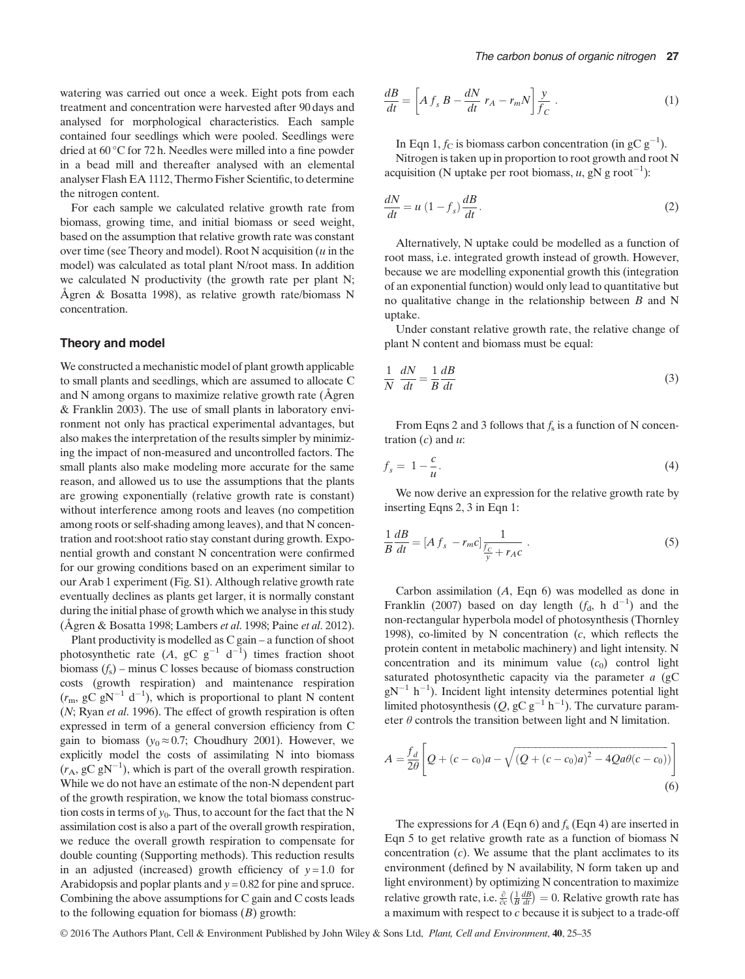watering was carried out once a week. Eight pots from each treatment and concentration were harvested after 90 days and analysed for morphological characteristics. Each sample contained four seedlings which were pooled. Seedlings were dried at 60 °C for 72 h. Needles were milled into a fine powder in a bead mill and thereafter analysed with an elemental analyser Flash EA 1112, Thermo Fisher Scientific, to determine the nitrogen content.

For each sample we calculated relative growth rate from biomass, growing time, and initial biomass or seed weight, based on the assumption that relative growth rate was constant over time (see Theory and model). Root N acquisition  $(u$  in the model) was calculated as total plant N/root mass. In addition we calculated N productivity (the growth rate per plant N; Ågren & Bosatta 1998), as relative growth rate/biomass N concentration.

#### Theory and model

We constructed a mechanistic model of plant growth applicable to small plants and seedlings, which are assumed to allocate C and N among organs to maximize relative growth rate (Ågren & Franklin 2003). The use of small plants in laboratory environment not only has practical experimental advantages, but also makes the interpretation of the results simpler by minimizing the impact of non-measured and uncontrolled factors. The small plants also make modeling more accurate for the same reason, and allowed us to use the assumptions that the plants are growing exponentially (relative growth rate is constant) without interference among roots and leaves (no competition among roots or self-shading among leaves), and that N concentration and root:shoot ratio stay constant during growth. Exponential growth and constant N concentration were confirmed for our growing conditions based on an experiment similar to our Arab 1 experiment (Fig. S1). Although relative growth rate eventually declines as plants get larger, it is normally constant during the initial phase of growth which we analyse in this study (Ågren & Bosatta 1998; Lambers et al. 1998; Paine et al. 2012).

Plant productivity is modelled as C gain – a function of shoot photosynthetic rate (A, gC  $g^{-1}$  d<sup>-1</sup>) times fraction shoot biomass  $(f_s)$  – minus C losses because of biomass construction costs (growth respiration) and maintenance respiration  $(r_m, gC gN^{-1} d^{-1})$ , which is proportional to plant N content (N; Ryan et al. 1996). The effect of growth respiration is often expressed in term of a general conversion efficiency from C gain to biomass ( $y_0 \approx 0.7$ ; Choudhury 2001). However, we explicitly model the costs of assimilating N into biomass  $(r_A, gC gN^{-1})$ , which is part of the overall growth respiration. While we do not have an estimate of the non-N dependent part of the growth respiration, we know the total biomass construction costs in terms of  $y_0$ . Thus, to account for the fact that the N assimilation cost is also a part of the overall growth respiration, we reduce the overall growth respiration to compensate for double counting (Supporting methods). This reduction results in an adjusted (increased) growth efficiency of  $y = 1.0$  for Arabidopsis and poplar plants and  $y = 0.82$  for pine and spruce. Combining the above assumptions for C gain and C costs leads to the following equation for biomass  $(B)$  growth:

$$
\frac{dB}{dt} = \left[ A f_s B - \frac{dN}{dt} r_A - r_m N \right] \frac{y}{f_C} . \tag{1}
$$

In Eqn 1,  $f_C$  is biomass carbon concentration (in gC  $g^{-1}$ ). Nitrogen is taken up in proportion to root growth and root N acquisition (N uptake per root biomass,  $u$ , gN g root<sup>-1</sup>):

$$
\frac{dN}{dt} = u\left(1 - f_s\right)\frac{dB}{dt}.\tag{2}
$$

Alternatively, N uptake could be modelled as a function of root mass, i.e. integrated growth instead of growth. However, because we are modelling exponential growth this (integration of an exponential function) would only lead to quantitative but no qualitative change in the relationship between  $B$  and N uptake.

Under constant relative growth rate, the relative change of plant N content and biomass must be equal:

$$
\frac{1}{N}\frac{dN}{dt} = \frac{1}{B}\frac{dB}{dt}
$$
\n(3)

From Eqns 2 and 3 follows that  $f_s$  is a function of N concentration  $(c)$  and  $u$ :

$$
f_s = 1 - \frac{c}{u}.\tag{4}
$$

We now derive an expression for the relative growth rate by inserting Eqns 2, 3 in Eqn 1:

$$
\frac{1}{B}\frac{dB}{dt} = [Af_s - r_m c]\frac{1}{\frac{fc}{y} + r_A c} \tag{5}
$$

Carbon assimilation (A, Eqn 6) was modelled as done in Franklin (2007) based on day length  $(f_d, h d^{-1})$  and the non-rectangular hyperbola model of photosynthesis (Thornley 1998), co-limited by N concentration  $(c,$  which reflects the protein content in metabolic machinery) and light intensity. N concentration and its minimum value  $(c_0)$  control light saturated photosynthetic capacity via the parameter  $a$  (gC  $gN^{-1}$  h<sup>-1</sup>). Incident light intensity determines potential light limited photosynthesis  $(Q, gC g^{-1} h^{-1})$ . The curvature parameter  $\theta$  controls the transition between light and N limitation.

$$
A = \frac{f_d}{2\theta} \left[ Q + (c - c_0)a - \sqrt{(Q + (c - c_0)a)^2 - 4Qa\theta(c - c_0)}) \right]
$$
\n(6)

The expressions for A (Eqn 6) and  $f_s$  (Eqn 4) are inserted in Eqn 5 to get relative growth rate as a function of biomass N concentration  $(c)$ . We assume that the plant acclimates to its environment (defined by N availability, N form taken up and light environment) by optimizing N concentration to maximize relative growth rate, i.e.  $\frac{\partial}{\partial c} \left( \frac{1}{B} \frac{dB}{dt} \right) = 0$ . Relative growth rate has a maximum with respect to c because it is subject to a trade-off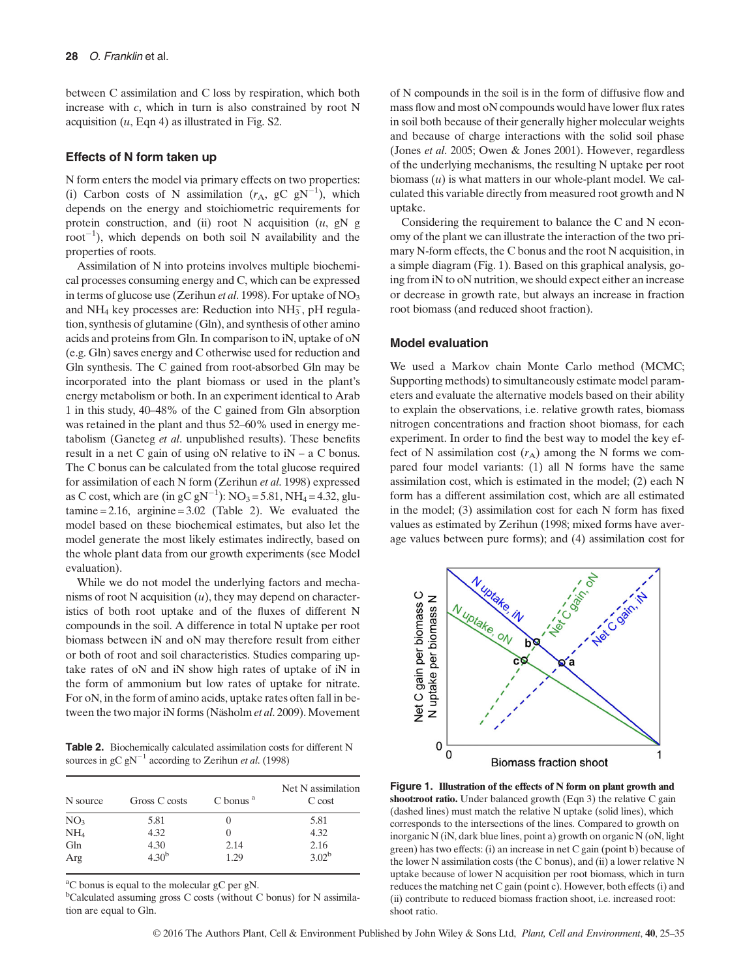between C assimilation and C loss by respiration, which both increase with c, which in turn is also constrained by root N acquisition  $(u, \text{Eqn 4})$  as illustrated in Fig. S2.

#### Effects of N form taken up

N form enters the model via primary effects on two properties: (i) Carbon costs of N assimilation  $(r_A, \text{ gC gN}^{-1})$ , which depends on the energy and stoichiometric requirements for protein construction, and (ii) root N acquisition  $(u, gN)$  $root^{-1}$ ), which depends on both soil N availability and the properties of roots.

Assimilation of N into proteins involves multiple biochemical processes consuming energy and C, which can be expressed in terms of glucose use (Zerihun et al. 1998). For uptake of  $NO<sub>3</sub>$ and  $NH_4$  key processes are: Reduction into  $NH_3^-$ , pH regulation, synthesis of glutamine (Gln), and synthesis of other amino acids and proteins from Gln. In comparison to iN, uptake of oN (e.g. Gln) saves energy and C otherwise used for reduction and Gln synthesis. The C gained from root-absorbed Gln may be incorporated into the plant biomass or used in the plant's energy metabolism or both. In an experiment identical to Arab 1 in this study, 40–48% of the C gained from Gln absorption was retained in the plant and thus 52–60% used in energy metabolism (Ganeteg et al. unpublished results). These benefits result in a net C gain of using oN relative to iN – a C bonus. The C bonus can be calculated from the total glucose required for assimilation of each N form (Zerihun et al. 1998) expressed as C cost, which are (in gC  $gN^{-1}$ ):  $NO_3 = 5.81$ ,  $NH_4 = 4.32$ , glutamine  $= 2.16$ , arginine  $= 3.02$  (Table 2). We evaluated the model based on these biochemical estimates, but also let the model generate the most likely estimates indirectly, based on the whole plant data from our growth experiments (see Model evaluation).

While we do not model the underlying factors and mechanisms of root N acquisition  $(u)$ , they may depend on characteristics of both root uptake and of the fluxes of different N compounds in the soil. A difference in total N uptake per root biomass between iN and oN may therefore result from either or both of root and soil characteristics. Studies comparing uptake rates of oN and iN show high rates of uptake of iN in the form of ammonium but low rates of uptake for nitrate. For oN, in the form of amino acids, uptake rates often fall in between the two major iN forms (Näsholm et al. 2009). Movement

Table 2. Biochemically calculated assimilation costs for different N sources in gC gN<sup>-1</sup> according to Zerihun *et al.* (1998)

| N source        | Gross C costs | $C$ bonus $a$ | Net N assimilation<br>C cost |
|-----------------|---------------|---------------|------------------------------|
| NO <sub>3</sub> | 5.81          |               | 5.81                         |
| NH <sub>4</sub> | 4.32          |               | 4.32                         |
| Gln             | 4.30          | 2.14          | 2.16                         |
| Arg             | $4.30^{b}$    | 1.29          | $3.02^{b}$                   |

<sup>a</sup>C bonus is equal to the molecular gC per gN.

<sup>b</sup>Calculated assuming gross C costs (without C bonus) for N assimilation are equal to Gln.

of N compounds in the soil is in the form of diffusive flow and mass flow and most oN compounds would have lower flux rates in soil both because of their generally higher molecular weights and because of charge interactions with the solid soil phase (Jones et al. 2005; Owen & Jones 2001). However, regardless of the underlying mechanisms, the resulting N uptake per root biomass  $(u)$  is what matters in our whole-plant model. We calculated this variable directly from measured root growth and N uptake.

Considering the requirement to balance the C and N economy of the plant we can illustrate the interaction of the two primary N-form effects, the C bonus and the root N acquisition, in a simple diagram (Fig. 1). Based on this graphical analysis, going from iN to oN nutrition, we should expect either an increase or decrease in growth rate, but always an increase in fraction root biomass (and reduced shoot fraction).

#### Model evaluation

We used a Markov chain Monte Carlo method (MCMC; Supporting methods) to simultaneously estimate model parameters and evaluate the alternative models based on their ability to explain the observations, i.e. relative growth rates, biomass nitrogen concentrations and fraction shoot biomass, for each experiment. In order to find the best way to model the key effect of N assimilation cost  $(r_A)$  among the N forms we compared four model variants: (1) all N forms have the same assimilation cost, which is estimated in the model; (2) each N form has a different assimilation cost, which are all estimated in the model; (3) assimilation cost for each N form has fixed values as estimated by Zerihun (1998; mixed forms have average values between pure forms); and (4) assimilation cost for



Figure 1. Illustration of the effects of N form on plant growth and shoot:root ratio. Under balanced growth (Eqn 3) the relative C gain (dashed lines) must match the relative N uptake (solid lines), which corresponds to the intersections of the lines. Compared to growth on inorganic N (iN, dark blue lines, point a) growth on organic N (oN, light green) has two effects: (i) an increase in net C gain (point b) because of the lower N assimilation costs (the C bonus), and (ii) a lower relative N uptake because of lower N acquisition per root biomass, which in turn reduces the matching net C gain (point c). However, both effects (i) and (ii) contribute to reduced biomass fraction shoot, i.e. increased root: shoot ratio.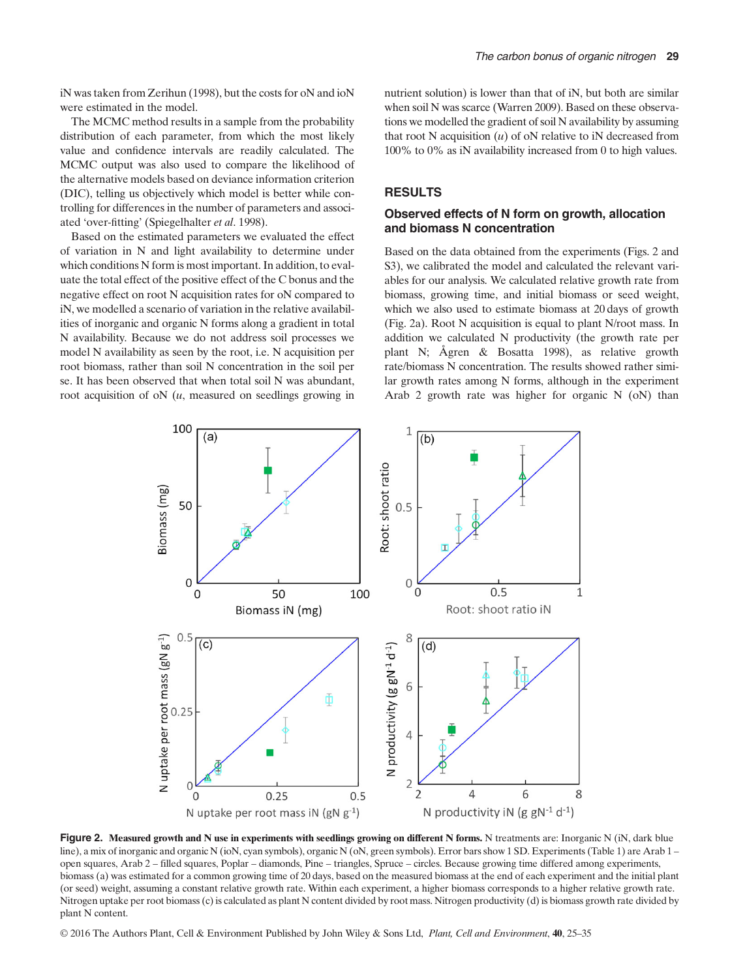iN was taken from Zerihun (1998), but the costs for oN and ioN were estimated in the model.

The MCMC method results in a sample from the probability distribution of each parameter, from which the most likely value and confidence intervals are readily calculated. The MCMC output was also used to compare the likelihood of the alternative models based on deviance information criterion (DIC), telling us objectively which model is better while controlling for differences in the number of parameters and associated 'over-fitting' (Spiegelhalter et al. 1998).

Based on the estimated parameters we evaluated the effect of variation in N and light availability to determine under which conditions N form is most important. In addition, to evaluate the total effect of the positive effect of the C bonus and the negative effect on root N acquisition rates for oN compared to iN, we modelled a scenario of variation in the relative availabilities of inorganic and organic N forms along a gradient in total N availability. Because we do not address soil processes we model N availability as seen by the root, i.e. N acquisition per root biomass, rather than soil N concentration in the soil per se. It has been observed that when total soil N was abundant, root acquisition of  $\alpha$  ( $u$ , measured on seedlings growing in

nutrient solution) is lower than that of iN, but both are similar when soil N was scarce (Warren 2009). Based on these observations we modelled the gradient of soil N availability by assuming that root N acquisition  $(u)$  of oN relative to iN decreased from 100% to 0% as iN availability increased from 0 to high values.

# **RESULTS**

# Observed effects of N form on growth, allocation and biomass N concentration

Based on the data obtained from the experiments (Figs. 2 and S3), we calibrated the model and calculated the relevant variables for our analysis. We calculated relative growth rate from biomass, growing time, and initial biomass or seed weight, which we also used to estimate biomass at 20 days of growth (Fig. 2a). Root N acquisition is equal to plant N/root mass. In addition we calculated N productivity (the growth rate per plant N; Ågren & Bosatta 1998), as relative growth rate/biomass N concentration. The results showed rather similar growth rates among N forms, although in the experiment Arab 2 growth rate was higher for organic N (oN) than



Figure 2. Measured growth and N use in experiments with seedlings growing on different N forms. N treatments are: Inorganic N (iN, dark blue line), a mix of inorganic and organic N (ioN, cyan symbols), organic N (oN, green symbols). Error bars show 1 SD. Experiments (Table 1) are Arab 1 – open squares, Arab 2 – filled squares, Poplar – diamonds, Pine – triangles, Spruce – circles. Because growing time differed among experiments, biomass (a) was estimated for a common growing time of 20 days, based on the measured biomass at the end of each experiment and the initial plant (or seed) weight, assuming a constant relative growth rate. Within each experiment, a higher biomass corresponds to a higher relative growth rate. Nitrogen uptake per root biomass (c) is calculated as plant N content divided by root mass. Nitrogen productivity (d) is biomass growth rate divided by plant N content.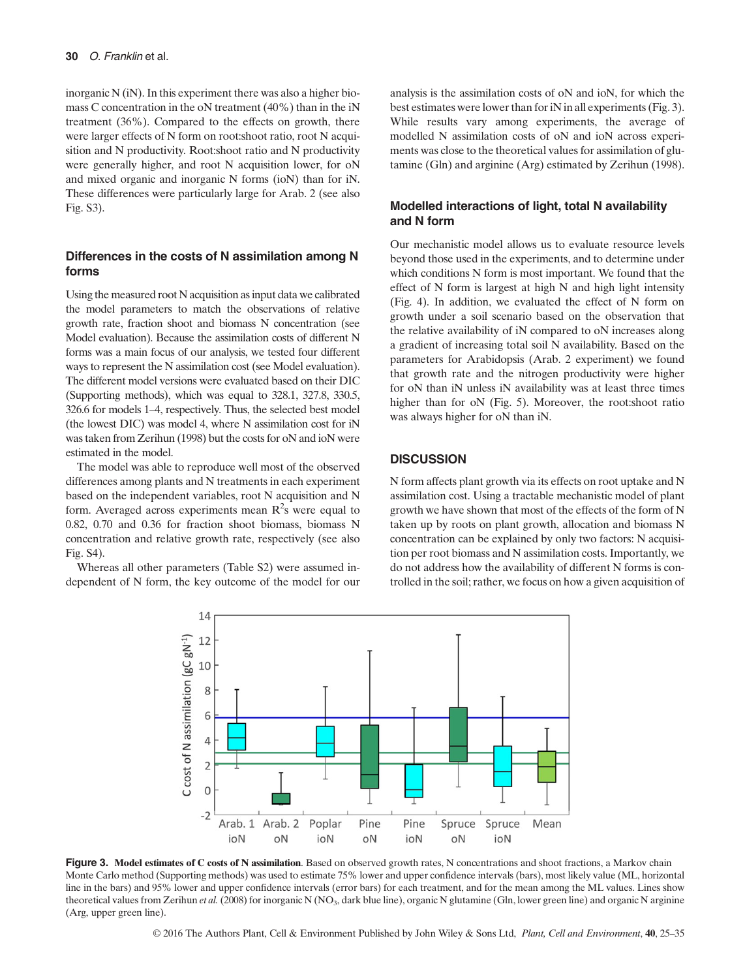inorganic N (iN). In this experiment there was also a higher biomass C concentration in the oN treatment (40%) than in the iN treatment (36%). Compared to the effects on growth, there were larger effects of N form on root:shoot ratio, root N acquisition and N productivity. Root:shoot ratio and N productivity were generally higher, and root N acquisition lower, for oN and mixed organic and inorganic N forms (ioN) than for iN. These differences were particularly large for Arab. 2 (see also Fig. S3).

#### Differences in the costs of N assimilation among N forms

Using the measured root N acquisition as input data we calibrated the model parameters to match the observations of relative growth rate, fraction shoot and biomass N concentration (see Model evaluation). Because the assimilation costs of different N forms was a main focus of our analysis, we tested four different ways to represent the N assimilation cost (see Model evaluation). The different model versions were evaluated based on their DIC (Supporting methods), which was equal to 328.1, 327.8, 330.5, 326.6 for models 1–4, respectively. Thus, the selected best model (the lowest DIC) was model 4, where N assimilation cost for iN was taken from Zerihun (1998) but the costs for oN and ioN were estimated in the model.

The model was able to reproduce well most of the observed differences among plants and N treatments in each experiment based on the independent variables, root N acquisition and N form. Averaged across experiments mean  $R^2$ s were equal to 0.82, 0.70 and 0.36 for fraction shoot biomass, biomass N concentration and relative growth rate, respectively (see also Fig. S4).

Whereas all other parameters (Table S2) were assumed independent of N form, the key outcome of the model for our analysis is the assimilation costs of oN and ioN, for which the best estimates were lower than for iN in all experiments (Fig. 3). While results vary among experiments, the average of modelled N assimilation costs of oN and ioN across experiments was close to the theoretical values for assimilation of glutamine (Gln) and arginine (Arg) estimated by Zerihun (1998).

# Modelled interactions of light, total N availability and N form

Our mechanistic model allows us to evaluate resource levels beyond those used in the experiments, and to determine under which conditions N form is most important. We found that the effect of N form is largest at high N and high light intensity (Fig. 4). In addition, we evaluated the effect of N form on growth under a soil scenario based on the observation that the relative availability of iN compared to oN increases along a gradient of increasing total soil N availability. Based on the parameters for Arabidopsis (Arab. 2 experiment) we found that growth rate and the nitrogen productivity were higher for oN than iN unless iN availability was at least three times higher than for oN (Fig. 5). Moreover, the root:shoot ratio was always higher for oN than iN.

### **DISCUSSION**

N form affects plant growth via its effects on root uptake and N assimilation cost. Using a tractable mechanistic model of plant growth we have shown that most of the effects of the form of N taken up by roots on plant growth, allocation and biomass N concentration can be explained by only two factors: N acquisition per root biomass and N assimilation costs. Importantly, we do not address how the availability of different N forms is controlled in the soil; rather, we focus on how a given acquisition of



Figure 3. Model estimates of C costs of N assimilation. Based on observed growth rates, N concentrations and shoot fractions, a Markov chain Monte Carlo method (Supporting methods) was used to estimate 75% lower and upper confidence intervals (bars), most likely value (ML, horizontal line in the bars) and 95% lower and upper confidence intervals (error bars) for each treatment, and for the mean among the ML values. Lines show theoretical values from Zerihun *et al.* (2008) for inorganic N (NO<sub>3</sub>, dark blue line), organic N glutamine (Gln, lower green line) and organic N arginine (Arg, upper green line).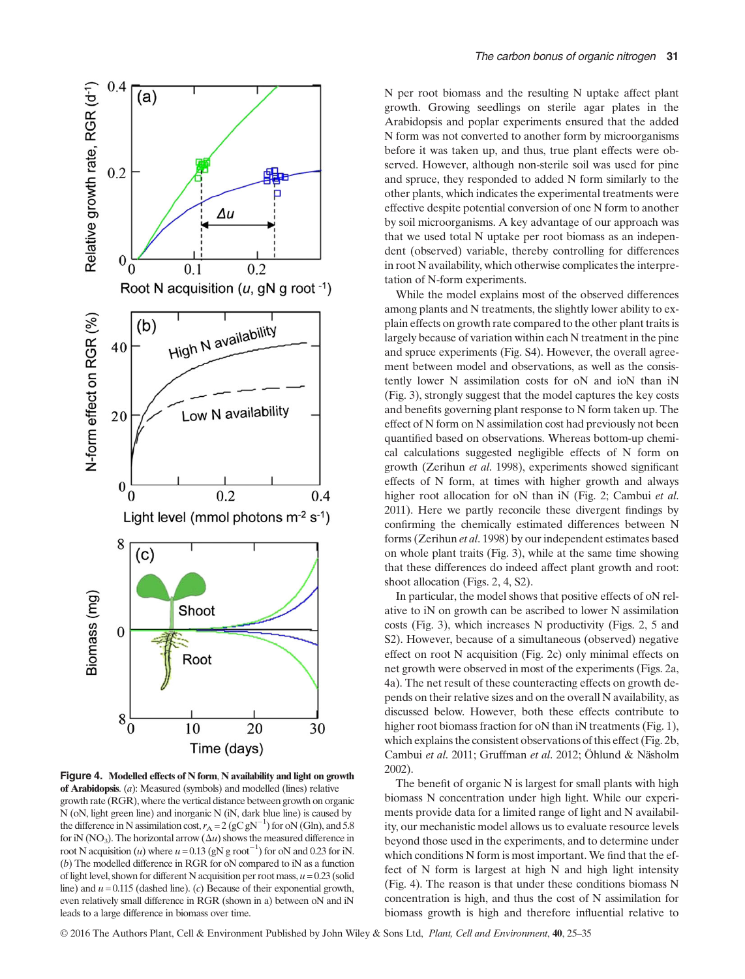

Figure 4. Modelled effects of N form, N availability and light on growth of Arabidopsis. (a): Measured (symbols) and modelled (lines) relative growth rate (RGR), where the vertical distance between growth on organic N (oN, light green line) and inorganic N (iN, dark blue line) is caused by the difference in N assimilation cost,  $r_A = 2 (gC gN^{-1})$  for oN (Gln), and 5.8 for iN (NO<sub>3</sub>). The horizontal arrow ( $\Delta u$ ) shows the measured difference in root N acquisition (*u*) where  $u = 0.13$  (gN g root<sup>-1</sup>) for oN and 0.23 for iN. (b) The modelled difference in RGR for oN compared to iN as a function of light level, shown for different N acquisition per root mass,  $u = 0.23$  (solid line) and  $u = 0.115$  (dashed line). (c) Because of their exponential growth, even relatively small difference in RGR (shown in a) between oN and iN leads to a large difference in biomass over time.

N per root biomass and the resulting N uptake affect plant growth. Growing seedlings on sterile agar plates in the Arabidopsis and poplar experiments ensured that the added N form was not converted to another form by microorganisms before it was taken up, and thus, true plant effects were observed. However, although non-sterile soil was used for pine and spruce, they responded to added N form similarly to the other plants, which indicates the experimental treatments were effective despite potential conversion of one N form to another by soil microorganisms. A key advantage of our approach was that we used total N uptake per root biomass as an independent (observed) variable, thereby controlling for differences in root N availability, which otherwise complicates the interpretation of N-form experiments.

While the model explains most of the observed differences among plants and N treatments, the slightly lower ability to explain effects on growth rate compared to the other plant traits is largely because of variation within each N treatment in the pine and spruce experiments (Fig. S4). However, the overall agreement between model and observations, as well as the consistently lower N assimilation costs for oN and ioN than iN (Fig. 3), strongly suggest that the model captures the key costs and benefits governing plant response to N form taken up. The effect of N form on N assimilation cost had previously not been quantified based on observations. Whereas bottom-up chemical calculations suggested negligible effects of N form on growth (Zerihun et al. 1998), experiments showed significant effects of N form, at times with higher growth and always higher root allocation for oN than iN (Fig. 2; Cambui et al. 2011). Here we partly reconcile these divergent findings by confirming the chemically estimated differences between N forms (Zerihun et al. 1998) by our independent estimates based on whole plant traits (Fig. 3), while at the same time showing that these differences do indeed affect plant growth and root: shoot allocation (Figs. 2, 4, S2).

In particular, the model shows that positive effects of oN relative to iN on growth can be ascribed to lower N assimilation costs (Fig. 3), which increases N productivity (Figs. 2, 5 and S2). However, because of a simultaneous (observed) negative effect on root N acquisition (Fig. 2c) only minimal effects on net growth were observed in most of the experiments (Figs. 2a, 4a). The net result of these counteracting effects on growth depends on their relative sizes and on the overall N availability, as discussed below. However, both these effects contribute to higher root biomass fraction for oN than iN treatments (Fig. 1), which explains the consistent observations of this effect (Fig. 2b, Cambui et al. 2011; Gruffman et al. 2012; Öhlund & Näsholm 2002).

The benefit of organic N is largest for small plants with high biomass N concentration under high light. While our experiments provide data for a limited range of light and N availability, our mechanistic model allows us to evaluate resource levels beyond those used in the experiments, and to determine under which conditions N form is most important. We find that the effect of N form is largest at high N and high light intensity (Fig. 4). The reason is that under these conditions biomass N concentration is high, and thus the cost of N assimilation for biomass growth is high and therefore influential relative to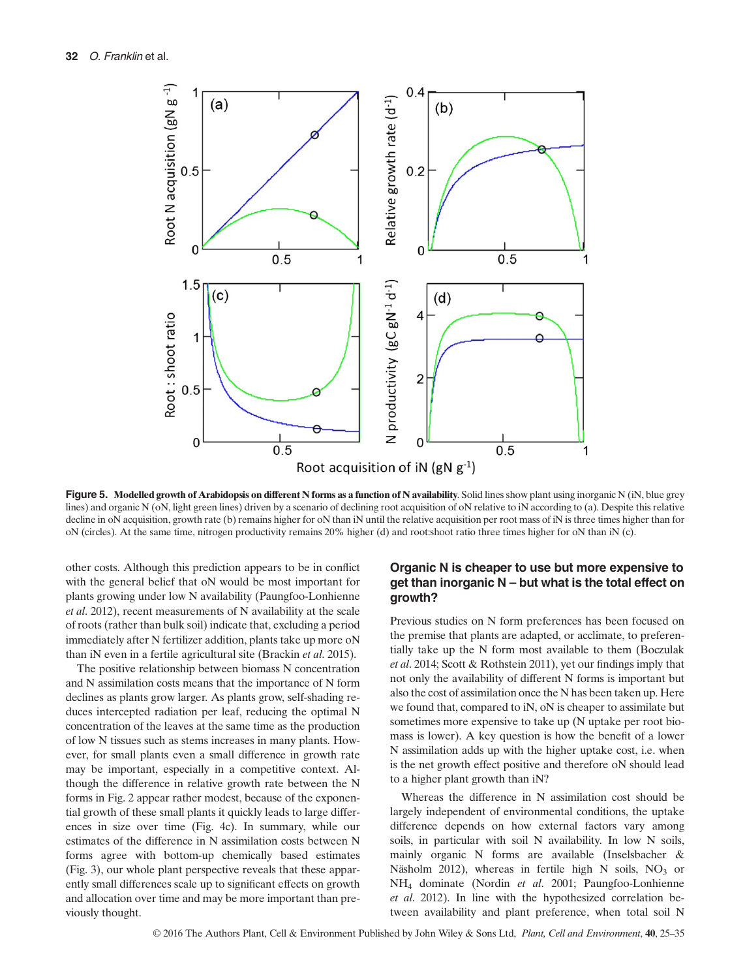

Figure 5. Modelled growth of Arabidopsis on different N forms as a function of N availability. Solid lines show plant using inorganic N (iN, blue grey lines) and organic N (oN, light green lines) driven by a scenario of declining root acquisition of oN relative to iN according to (a). Despite this relative decline in oN acquisition, growth rate (b) remains higher for oN than iN until the relative acquisition per root mass of iN is three times higher than for oN (circles). At the same time, nitrogen productivity remains 20% higher (d) and root:shoot ratio three times higher for oN than iN (c).

other costs. Although this prediction appears to be in conflict with the general belief that oN would be most important for plants growing under low N availability (Paungfoo-Lonhienne et al. 2012), recent measurements of N availability at the scale of roots (rather than bulk soil) indicate that, excluding a period immediately after N fertilizer addition, plants take up more oN than iN even in a fertile agricultural site (Brackin et al. 2015).

The positive relationship between biomass N concentration and N assimilation costs means that the importance of N form declines as plants grow larger. As plants grow, self-shading reduces intercepted radiation per leaf, reducing the optimal N concentration of the leaves at the same time as the production of low N tissues such as stems increases in many plants. However, for small plants even a small difference in growth rate may be important, especially in a competitive context. Although the difference in relative growth rate between the N forms in Fig. 2 appear rather modest, because of the exponential growth of these small plants it quickly leads to large differences in size over time (Fig. 4c). In summary, while our estimates of the difference in N assimilation costs between N forms agree with bottom-up chemically based estimates (Fig. 3), our whole plant perspective reveals that these apparently small differences scale up to significant effects on growth and allocation over time and may be more important than previously thought.

# Organic N is cheaper to use but more expensive to get than inorganic N – but what is the total effect on growth?

Previous studies on N form preferences has been focused on the premise that plants are adapted, or acclimate, to preferentially take up the N form most available to them (Boczulak et al. 2014; Scott & Rothstein 2011), yet our findings imply that not only the availability of different N forms is important but also the cost of assimilation once the N has been taken up. Here we found that, compared to iN, oN is cheaper to assimilate but sometimes more expensive to take up (N uptake per root biomass is lower). A key question is how the benefit of a lower N assimilation adds up with the higher uptake cost, i.e. when is the net growth effect positive and therefore oN should lead to a higher plant growth than iN?

Whereas the difference in N assimilation cost should be largely independent of environmental conditions, the uptake difference depends on how external factors vary among soils, in particular with soil N availability. In low N soils, mainly organic N forms are available (Inselsbacher & Näsholm 2012), whereas in fertile high N soils,  $NO<sub>3</sub>$  or NH4 dominate (Nordin et al. 2001; Paungfoo-Lonhienne et al. 2012). In line with the hypothesized correlation between availability and plant preference, when total soil N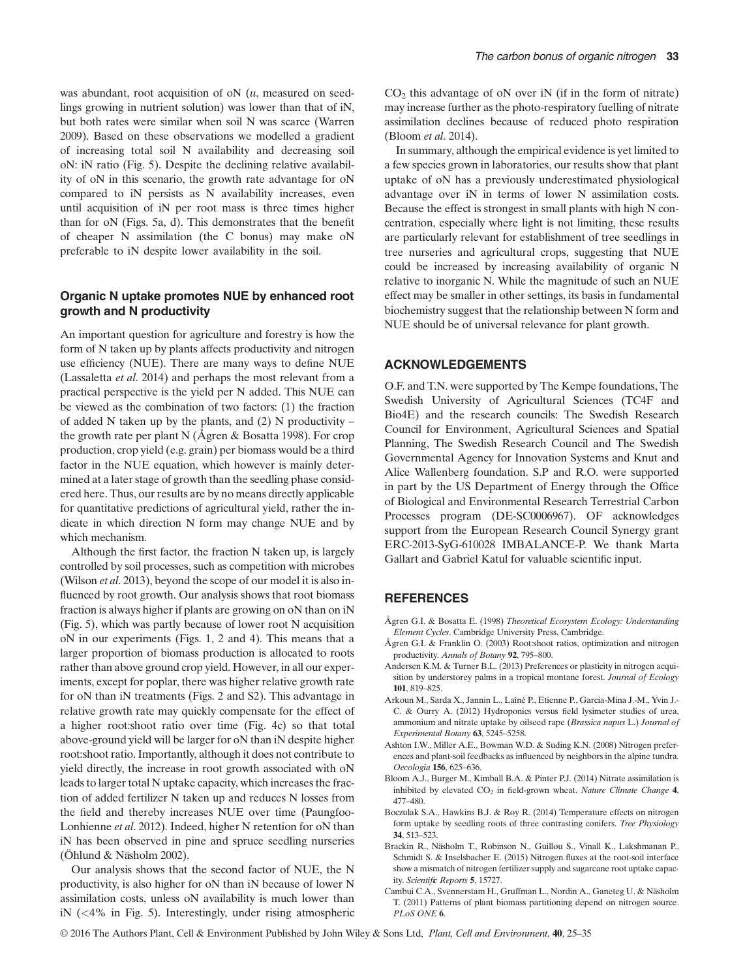was abundant, root acquisition of  $\alpha$  ( $u$ , measured on seedlings growing in nutrient solution) was lower than that of iN, but both rates were similar when soil N was scarce (Warren 2009). Based on these observations we modelled a gradient of increasing total soil N availability and decreasing soil oN: iN ratio (Fig. 5). Despite the declining relative availability of oN in this scenario, the growth rate advantage for oN compared to iN persists as N availability increases, even until acquisition of iN per root mass is three times higher than for oN (Figs. 5a, d). This demonstrates that the benefit of cheaper N assimilation (the C bonus) may make oN preferable to iN despite lower availability in the soil.

## Organic N uptake promotes NUE by enhanced root growth and N productivity

An important question for agriculture and forestry is how the form of N taken up by plants affects productivity and nitrogen use efficiency (NUE). There are many ways to define NUE (Lassaletta et al. 2014) and perhaps the most relevant from a practical perspective is the yield per N added. This NUE can be viewed as the combination of two factors: (1) the fraction of added N taken up by the plants, and  $(2)$  N productivity – the growth rate per plant N (Ågren & Bosatta 1998). For crop production, crop yield (e.g. grain) per biomass would be a third factor in the NUE equation, which however is mainly determined at a later stage of growth than the seedling phase considered here. Thus, our results are by no means directly applicable for quantitative predictions of agricultural yield, rather the indicate in which direction N form may change NUE and by which mechanism.

Although the first factor, the fraction N taken up, is largely controlled by soil processes, such as competition with microbes (Wilson et al. 2013), beyond the scope of our model it is also influenced by root growth. Our analysis shows that root biomass fraction is always higher if plants are growing on oN than on iN (Fig. 5), which was partly because of lower root N acquisition oN in our experiments (Figs. 1, 2 and 4). This means that a larger proportion of biomass production is allocated to roots rather than above ground crop yield. However, in all our experiments, except for poplar, there was higher relative growth rate for oN than iN treatments (Figs. 2 and S2). This advantage in relative growth rate may quickly compensate for the effect of a higher root:shoot ratio over time (Fig. 4c) so that total above-ground yield will be larger for oN than iN despite higher root:shoot ratio. Importantly, although it does not contribute to yield directly, the increase in root growth associated with oN leads to larger total N uptake capacity, which increases the fraction of added fertilizer N taken up and reduces N losses from the field and thereby increases NUE over time (Paungfoo-Lonhienne et al. 2012). Indeed, higher N retention for oN than iN has been observed in pine and spruce seedling nurseries (Öhlund & Näsholm 2002).

Our analysis shows that the second factor of NUE, the N productivity, is also higher for oN than iN because of lower N assimilation costs, unless oN availability is much lower than iN (<4% in Fig. 5). Interestingly, under rising atmospheric  $CO<sub>2</sub>$  this advantage of oN over iN (if in the form of nitrate) may increase further as the photo-respiratory fuelling of nitrate assimilation declines because of reduced photo respiration (Bloom et al. 2014).

In summary, although the empirical evidence is yet limited to a few species grown in laboratories, our results show that plant uptake of oN has a previously underestimated physiological advantage over iN in terms of lower N assimilation costs. Because the effect is strongest in small plants with high N concentration, especially where light is not limiting, these results are particularly relevant for establishment of tree seedlings in tree nurseries and agricultural crops, suggesting that NUE could be increased by increasing availability of organic N relative to inorganic N. While the magnitude of such an NUE effect may be smaller in other settings, its basis in fundamental biochemistry suggest that the relationship between N form and NUE should be of universal relevance for plant growth.

#### ACKNOWLEDGEMENTS

O.F. and T.N. were supported by The Kempe foundations, The Swedish University of Agricultural Sciences (TC4F and Bio4E) and the research councils: The Swedish Research Council for Environment, Agricultural Sciences and Spatial Planning, The Swedish Research Council and The Swedish Governmental Agency for Innovation Systems and Knut and Alice Wallenberg foundation. S.P and R.O. were supported in part by the US Department of Energy through the Office of Biological and Environmental Research Terrestrial Carbon Processes program (DE-SC0006967). OF acknowledges support from the European Research Council Synergy grant ERC-2013-SyG-610028 IMBALANCE-P. We thank Marta Gallart and Gabriel Katul for valuable scientific input.

## **REFERENCES**

- Ågren G.I. & Bosatta E. (1998) Theoretical Ecosystem Ecology: Understanding Element Cycles. Cambridge University Press, Cambridge.
- Ågren G.I. & Franklin O. (2003) Root:shoot ratios, optimization and nitrogen productivity. Annals of Botany 92, 795–800.
- Andersen K.M. & Turner B.L. (2013) Preferences or plasticity in nitrogen acquisition by understorey palms in a tropical montane forest. Journal of Ecology 101, 819–825.
- Arkoun M., Sarda X., Jannin L., Laîné P., Etienne P., Garcia-Mina J.-M., Yvin J.- C. & Ourry A. (2012) Hydroponics versus field lysimeter studies of urea, ammonium and nitrate uptake by oilseed rape (Brassica napus L.) Journal of Experimental Botany 63, 5245–5258.
- Ashton I.W., Miller A.E., Bowman W.D. & Suding K.N. (2008) Nitrogen preferences and plant-soil feedbacks as influenced by neighbors in the alpine tundra. Oecologia 156, 625–636.
- Bloom A.J., Burger M., Kimball B.A. & Pinter P.J. (2014) Nitrate assimilation is inhibited by elevated  $CO<sub>2</sub>$  in field-grown wheat. Nature Climate Change 4, 477–480.
- Boczulak S.A., Hawkins B.J. & Roy R. (2014) Temperature effects on nitrogen form uptake by seedling roots of three contrasting conifers. Tree Physiology 34, 513–523.
- Brackin R., Näsholm T., Robinson N., Guillou S., Vinall K., Lakshmanan P., Schmidt S. & Inselsbacher E. (2015) Nitrogen fluxes at the root-soil interface show a mismatch of nitrogen fertilizer supply and sugarcane root uptake capacity. Scientific Reports 5, 15727.
- Cambui C.A., Svennerstam H., Gruffman L., Nordin A., Ganeteg U. & Näsholm T. (2011) Patterns of plant biomass partitioning depend on nitrogen source. PLoS ONE 6.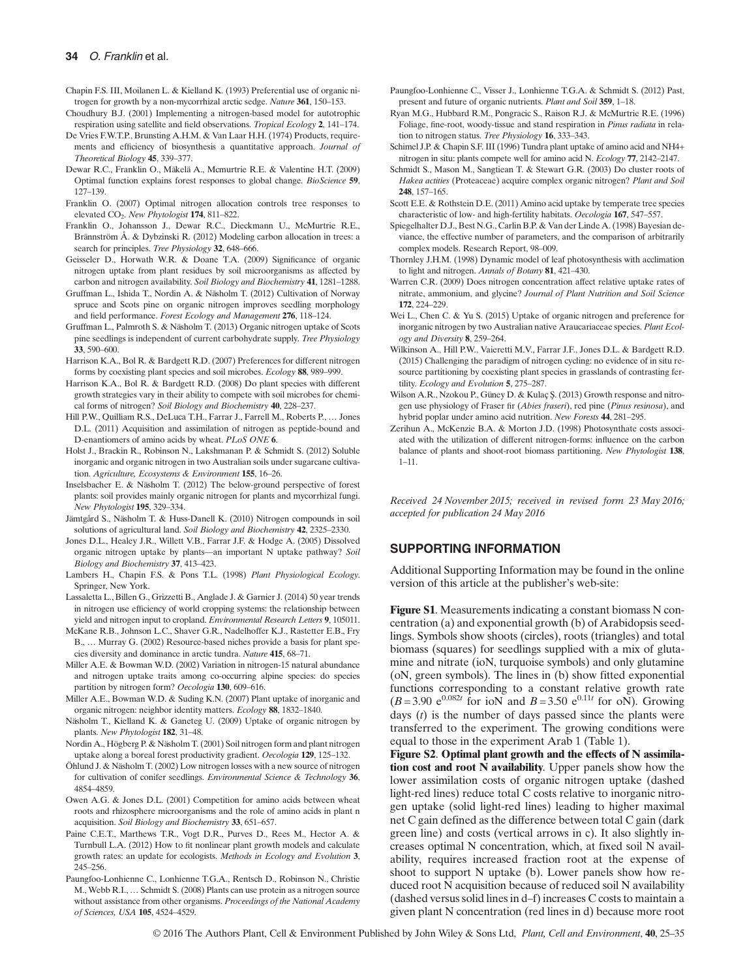Chapin F.S. III, Moilanen L. & Kielland K. (1993) Preferential use of organic nitrogen for growth by a non-mycorrhizal arctic sedge. Nature 361, 150–153.

- Choudhury B.J. (2001) Implementing a nitrogen-based model for autotrophic respiration using satellite and field observations. Tropical Ecology 2, 141–174.
- De Vries F.W.T.P., Brunsting A.H.M. & Van Laar H.H. (1974) Products, requirements and efficiency of biosynthesis a quantitative approach. Journal of Theoretical Biology 45, 339–377.
- Dewar R.C., Franklin O., Mäkelä A., Mcmurtrie R.E. & Valentine H.T. (2009) Optimal function explains forest responses to global change. BioScience 59, 127–139.
- Franklin O. (2007) Optimal nitrogen allocation controls tree responses to elevated CO<sub>2</sub>. New Phytologist 174, 811-822.
- Franklin O., Johansson J., Dewar R.C., Dieckmann U., McMurtrie R.E., Brännström Å. & Dybzinski R. (2012) Modeling carbon allocation in trees: a search for principles. Tree Physiology 32, 648–666.
- Geisseler D., Horwath W.R. & Doane T.A. (2009) Significance of organic nitrogen uptake from plant residues by soil microorganisms as affected by carbon and nitrogen availability. Soil Biology and Biochemistry 41, 1281–1288.
- Gruffman L., Ishida T., Nordin A. & Näsholm T. (2012) Cultivation of Norway spruce and Scots pine on organic nitrogen improves seedling morphology and field performance. Forest Ecology and Management 276, 118–124.
- Gruffman L., Palmroth S. & Näsholm T. (2013) Organic nitrogen uptake of Scots pine seedlings is independent of current carbohydrate supply. Tree Physiology 33, 590–600.
- Harrison K.A., Bol R. & Bardgett R.D. (2007) Preferences for different nitrogen forms by coexisting plant species and soil microbes. Ecology 88, 989–999.
- Harrison K.A., Bol R. & Bardgett R.D. (2008) Do plant species with different growth strategies vary in their ability to compete with soil microbes for chemical forms of nitrogen? Soil Biology and Biochemistry 40, 228–237.
- Hill P.W., Quilliam R.S., DeLuca T.H., Farrar J., Farrell M., Roberts P., … Jones D.L. (2011) Acquisition and assimilation of nitrogen as peptide-bound and D-enantiomers of amino acids by wheat. PLoS ONE 6.
- Holst J., Brackin R., Robinson N., Lakshmanan P. & Schmidt S. (2012) Soluble inorganic and organic nitrogen in two Australian soils under sugarcane cultivation. Agriculture, Ecosystems & Environment 155, 16–26.
- Inselsbacher E. & Näsholm T. (2012) The below-ground perspective of forest plants: soil provides mainly organic nitrogen for plants and mycorrhizal fungi. New Phytologist 195, 329–334.
- Jämtgård S., Näsholm T. & Huss-Danell K. (2010) Nitrogen compounds in soil solutions of agricultural land. Soil Biology and Biochemistry 42, 2325-2330.
- Jones D.L., Healey J.R., Willett V.B., Farrar J.F. & Hodge A. (2005) Dissolved organic nitrogen uptake by plants—an important N uptake pathway? Soil Biology and Biochemistry 37, 413–423.
- Lambers H., Chapin F.S. & Pons T.L. (1998) Plant Physiological Ecology. Springer, New York.
- Lassaletta L., Billen G., Grizzetti B., Anglade J. & Garnier J. (2014) 50 year trends in nitrogen use efficiency of world cropping systems: the relationship between yield and nitrogen input to cropland. Environmental Research Letters 9, 105011.
- McKane R.B., Johnson L.C., Shaver G.R., Nadelhoffer K.J., Rastetter E.B., Fry B., … Murray G. (2002) Resource-based niches provide a basis for plant species diversity and dominance in arctic tundra. Nature 415, 68–71.
- Miller A.E. & Bowman W.D. (2002) Variation in nitrogen-15 natural abundance and nitrogen uptake traits among co-occurring alpine species: do species partition by nitrogen form? Oecologia 130, 609–616.
- Miller A.E., Bowman W.D. & Suding K.N. (2007) Plant uptake of inorganic and organic nitrogen: neighbor identity matters. Ecology 88, 1832–1840.
- Näsholm T., Kielland K. & Ganeteg U. (2009) Uptake of organic nitrogen by plants. New Phytologist 182, 31–48.
- Nordin A., Högberg P. & Näsholm T. (2001) Soil nitrogen form and plant nitrogen uptake along a boreal forest productivity gradient. Oecologia 129, 125–132.
- Öhlund J. & Näsholm T. (2002) Low nitrogen losses with a new source of nitrogen for cultivation of conifer seedlings. Environmental Science & Technology 36, 4854–4859.
- Owen A.G. & Jones D.L. (2001) Competition for amino acids between wheat roots and rhizosphere microorganisms and the role of amino acids in plant n acquisition. Soil Biology and Biochemistry 33, 651–657.
- Paine C.E.T., Marthews T.R., Vogt D.R., Purves D., Rees M., Hector A. & Turnbull L.A. (2012) How to fit nonlinear plant growth models and calculate growth rates: an update for ecologists. Methods in Ecology and Evolution 3, 245–256.
- Paungfoo-Lonhienne C., Lonhienne T.G.A., Rentsch D., Robinson N., Christie M., Webb R.I., … Schmidt S. (2008) Plants can use protein as a nitrogen source without assistance from other organisms. Proceedings of the National Academy of Sciences, USA 105, 4524–4529.
- Paungfoo-Lonhienne C., Visser J., Lonhienne T.G.A. & Schmidt S. (2012) Past, present and future of organic nutrients. Plant and Soil 359, 1–18.
- Ryan M.G., Hubbard R.M., Pongracic S., Raison R.J. & McMurtrie R.E. (1996) Foliage, fine-root, woody-tissue and stand respiration in Pinus radiata in relation to nitrogen status. Tree Physiology 16, 333–343.
- Schimel J.P. & Chapin S.F. III (1996) Tundra plant uptake of amino acid and NH4+ nitrogen in situ: plants compete well for amino acid N. Ecology 77, 2142–2147.
- Schmidt S., Mason M., Sangtiean T. & Stewart G.R. (2003) Do cluster roots of Hakea actities (Proteaceae) acquire complex organic nitrogen? Plant and Soil 248, 157–165.
- Scott E.E. & Rothstein D.E. (2011) Amino acid uptake by temperate tree species characteristic of low- and high-fertility habitats. Oecologia 167, 547-557.
- Spiegelhalter D.J., Best N.G., Carlin B.P. & Van der Linde A. (1998) Bayesian deviance, the effective number of parameters, and the comparison of arbitrarily complex models. Research Report, 98–009.
- Thornley J.H.M. (1998) Dynamic model of leaf photosynthesis with acclimation to light and nitrogen. Annals of Botany 81, 421–430.
- Warren C.R. (2009) Does nitrogen concentration affect relative uptake rates of nitrate, ammonium, and glycine? Journal of Plant Nutrition and Soil Science 172, 224–229.
- Wei L., Chen C. & Yu S. (2015) Uptake of organic nitrogen and preference for inorganic nitrogen by two Australian native Araucariaceae species. Plant Ecology and Diversity 8, 259–264.
- Wilkinson A., Hill P.W., Vaieretti M.V., Farrar J.F., Jones D.L. & Bardgett R.D. (2015) Challenging the paradigm of nitrogen cycling: no evidence of in situ resource partitioning by coexisting plant species in grasslands of contrasting fertility. Ecology and Evolution 5, 275–287.
- Wilson A.R., Nzokou P., Güney D. & Kulaç Ş. (2013) Growth response and nitrogen use physiology of Fraser fir (Abies fraseri), red pine (Pinus resinosa), and hybrid poplar under amino acid nutrition. New Forests 44, 281–295.
- Zerihun A., McKenzie B.A. & Morton J.D. (1998) Photosynthate costs associated with the utilization of different nitrogen-forms: influence on the carbon balance of plants and shoot-root biomass partitioning. New Phytologist 138, 1–11.

Received 24 November 2015; received in revised form 23 May 2016; accepted for publication 24 May 2016

#### SUPPORTING INFORMATION

Additional Supporting Information may be found in the online version of this article at the publisher's web-site:

Figure S1. Measurements indicating a constant biomass N concentration (a) and exponential growth (b) of Arabidopsis seedlings. Symbols show shoots (circles), roots (triangles) and total biomass (squares) for seedlings supplied with a mix of glutamine and nitrate (ioN, turquoise symbols) and only glutamine (oN, green symbols). The lines in (b) show fitted exponential functions corresponding to a constant relative growth rate  $(B=3.90 \text{ e}^{0.082t} \text{ for } i\text{ oN}$  and  $B=3.50 \text{ e}^{0.11t}$  for oN). Growing days  $(t)$  is the number of days passed since the plants were transferred to the experiment. The growing conditions were equal to those in the experiment Arab 1 (Table 1).

Figure S2. Optimal plant growth and the effects of N assimilation cost and root N availability. Upper panels show how the lower assimilation costs of organic nitrogen uptake (dashed light-red lines) reduce total C costs relative to inorganic nitrogen uptake (solid light-red lines) leading to higher maximal net C gain defined as the difference between total C gain (dark green line) and costs (vertical arrows in c). It also slightly increases optimal N concentration, which, at fixed soil N availability, requires increased fraction root at the expense of shoot to support N uptake (b). Lower panels show how reduced root N acquisition because of reduced soil N availability (dashed versus solid lines in d–f) increases C costs to maintain a given plant N concentration (red lines in d) because more root